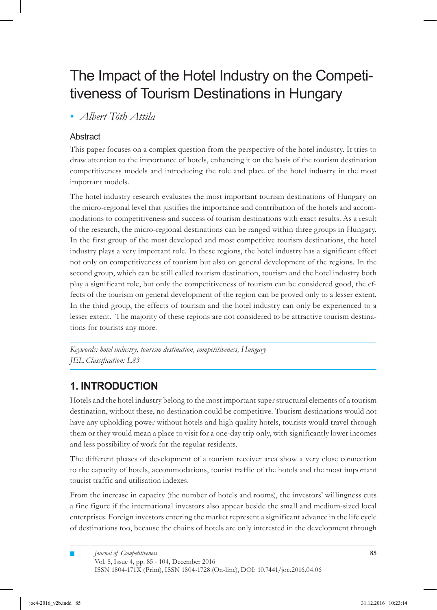# The Impact of the Hotel Industry on the Competitiveness of Tourism Destinations in Hungary

*Albert Tóth Attila ▪*

#### **Abstract**

This paper focuses on a complex question from the perspective of the hotel industry. It tries to draw attention to the importance of hotels, enhancing it on the basis of the tourism destination competitiveness models and introducing the role and place of the hotel industry in the most important models.

The hotel industry research evaluates the most important tourism destinations of Hungary on the micro-regional level that justifies the importance and contribution of the hotels and accommodations to competitiveness and success of tourism destinations with exact results. As a result of the research, the micro-regional destinations can be ranged within three groups in Hungary. In the first group of the most developed and most competitive tourism destinations, the hotel industry plays a very important role. In these regions, the hotel industry has a significant effect not only on competitiveness of tourism but also on general development of the regions. In the second group, which can be still called tourism destination, tourism and the hotel industry both play a significant role, but only the competitiveness of tourism can be considered good, the effects of the tourism on general development of the region can be proved only to a lesser extent. In the third group, the effects of tourism and the hotel industry can only be experienced to a lesser extent. The majority of these regions are not considered to be attractive tourism destinations for tourists any more.

*Keywords: hotel industry, tourism destination, competitiveness, Hungary JEL Classification: L83*

# **1. INTRODUCTION**

Hotels and the hotel industry belong to the most important super structural elements of a tourism destination, without these, no destination could be competitive. Tourism destinations would not have any upholding power without hotels and high quality hotels, tourists would travel through them or they would mean a place to visit for a one-day trip only, with significantly lower incomes and less possibility of work for the regular residents.

The different phases of development of a tourism receiver area show a very close connection to the capacity of hotels, accommodations, tourist traffic of the hotels and the most important tourist traffic and utilisation indexes.

From the increase in capacity (the number of hotels and rooms), the investors' willingness cuts a fine figure if the international investors also appear beside the small and medium-sized local enterprises. Foreign investors entering the market represent a significant advance in the life cycle of destinations too, because the chains of hotels are only interested in the development through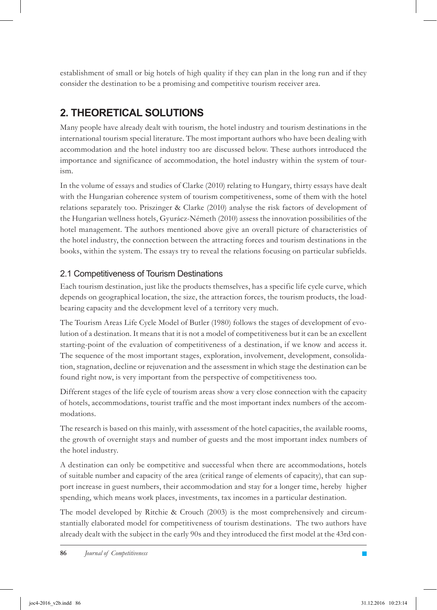establishment of small or big hotels of high quality if they can plan in the long run and if they consider the destination to be a promising and competitive tourism receiver area.

# **2. THEORETICAL SOLUTIONS**

Many people have already dealt with tourism, the hotel industry and tourism destinations in the international tourism special literature. The most important authors who have been dealing with accommodation and the hotel industry too are discussed below. These authors introduced the importance and significance of accommodation, the hotel industry within the system of tourism.

In the volume of essays and studies of Clarke (2010) relating to Hungary, thirty essays have dealt with the Hungarian coherence system of tourism competitiveness, some of them with the hotel relations separately too. Priszinger & Clarke (2010) analyse the risk factors of development of the Hungarian wellness hotels, Gyurácz-Németh (2010) assess the innovation possibilities of the hotel management. The authors mentioned above give an overall picture of characteristics of the hotel industry, the connection between the attracting forces and tourism destinations in the books, within the system. The essays try to reveal the relations focusing on particular subfields.

#### 2.1 Competitiveness of Tourism Destinations

Each tourism destination, just like the products themselves, has a specific life cycle curve, which depends on geographical location, the size, the attraction forces, the tourism products, the loadbearing capacity and the development level of a territory very much.

The Tourism Areas Life Cycle Model of Butler (1980) follows the stages of development of evolution of a destination. It means that it is not a model of competitiveness but it can be an excellent starting-point of the evaluation of competitiveness of a destination, if we know and access it. The sequence of the most important stages, exploration, involvement, development, consolidation, stagnation, decline or rejuvenation and the assessment in which stage the destination can be found right now, is very important from the perspective of competitiveness too.

Different stages of the life cycle of tourism areas show a very close connection with the capacity of hotels, accommodations, tourist traffic and the most important index numbers of the accommodations.

The research is based on this mainly, with assessment of the hotel capacities, the available rooms, the growth of overnight stays and number of guests and the most important index numbers of the hotel industry.

A destination can only be competitive and successful when there are accommodations, hotels of suitable number and capacity of the area (critical range of elements of capacity), that can support increase in guest numbers, their accommodation and stay for a longer time, hereby higher spending, which means work places, investments, tax incomes in a particular destination.

The model developed by Ritchie & Crouch (2003) is the most comprehensively and circumstantially elaborated model for competitiveness of tourism destinations. The two authors have already dealt with the subject in the early 90s and they introduced the first model at the 43rd con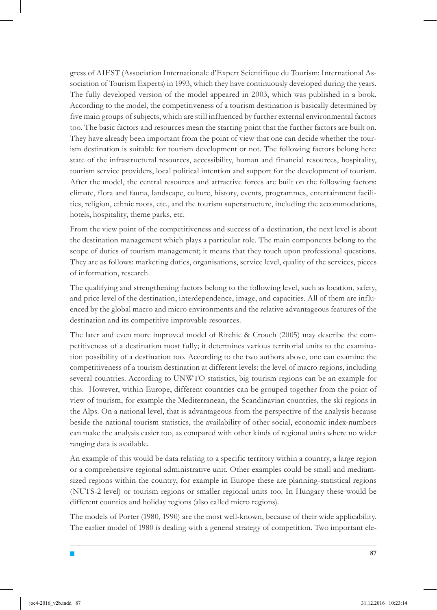gress of AIEST (Association Internationale d'Expert Scientifique du Tourism: International Association of Tourism Experts) in 1993, which they have continuously developed during the years. The fully developed version of the model appeared in 2003, which was published in a book. According to the model, the competitiveness of a tourism destination is basically determined by five main groups of subjects, which are still influenced by further external environmental factors too. The basic factors and resources mean the starting point that the further factors are built on. They have already been important from the point of view that one can decide whether the tourism destination is suitable for tourism development or not. The following factors belong here: state of the infrastructural resources, accessibility, human and financial resources, hospitality, tourism service providers, local political intention and support for the development of tourism. After the model, the central resources and attractive forces are built on the following factors: climate, flora and fauna, landscape, culture, history, events, programmes, entertainment facilities, religion, ethnic roots, etc., and the tourism superstructure, including the accommodations, hotels, hospitality, theme parks, etc.

From the view point of the competitiveness and success of a destination, the next level is about the destination management which plays a particular role. The main components belong to the scope of duties of tourism management; it means that they touch upon professional questions. They are as follows: marketing duties, organisations, service level, quality of the services, pieces of information, research.

The qualifying and strengthening factors belong to the following level, such as location, safety, and price level of the destination, interdependence, image, and capacities. All of them are influenced by the global macro and micro environments and the relative advantageous features of the destination and its competitive improvable resources.

The later and even more improved model of Ritchie & Crouch (2005) may describe the competitiveness of a destination most fully; it determines various territorial units to the examination possibility of a destination too. According to the two authors above, one can examine the competitiveness of a tourism destination at different levels: the level of macro regions, including several countries. According to UNWTO statistics, big tourism regions can be an example for this. However, within Europe, different countries can be grouped together from the point of view of tourism, for example the Mediterranean, the Scandinavian countries, the ski regions in the Alps. On a national level, that is advantageous from the perspective of the analysis because beside the national tourism statistics, the availability of other social, economic index-numbers can make the analysis easier too, as compared with other kinds of regional units where no wider ranging data is available.

An example of this would be data relating to a specific territory within a country, a large region or a comprehensive regional administrative unit. Other examples could be small and mediumsized regions within the country, for example in Europe these are planning-statistical regions (NUTS-2 level) or tourism regions or smaller regional units too. In Hungary these would be different counties and holiday regions (also called micro regions).

The models of Porter (1980, 1990) are the most well-known, because of their wide applicability. The earlier model of 1980 is dealing with a general strategy of competition. Two important ele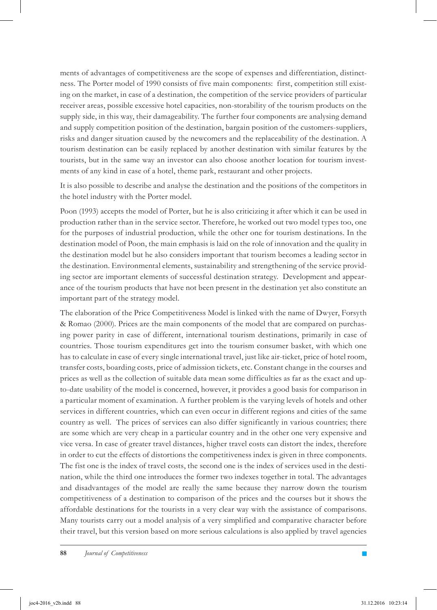ments of advantages of competitiveness are the scope of expenses and differentiation, distinctness. The Porter model of 1990 consists of five main components: first, competition still existing on the market, in case of a destination, the competition of the service providers of particular receiver areas, possible excessive hotel capacities, non-storability of the tourism products on the supply side, in this way, their damageability. The further four components are analysing demand and supply competition position of the destination, bargain position of the customers-suppliers, risks and danger situation caused by the newcomers and the replaceability of the destination. A tourism destination can be easily replaced by another destination with similar features by the tourists, but in the same way an investor can also choose another location for tourism investments of any kind in case of a hotel, theme park, restaurant and other projects.

It is also possible to describe and analyse the destination and the positions of the competitors in the hotel industry with the Porter model.

Poon (1993) accepts the model of Porter, but he is also criticizing it after which it can be used in production rather than in the service sector. Therefore, he worked out two model types too, one for the purposes of industrial production, while the other one for tourism destinations. In the destination model of Poon, the main emphasis is laid on the role of innovation and the quality in the destination model but he also considers important that tourism becomes a leading sector in the destination. Environmental elements, sustainability and strengthening of the service providing sector are important elements of successful destination strategy. Development and appearance of the tourism products that have not been present in the destination yet also constitute an important part of the strategy model.

The elaboration of the Price Competitiveness Model is linked with the name of Dwyer, Forsyth & Romao (2000). Prices are the main components of the model that are compared on purchasing power parity in case of different, international tourism destinations, primarily in case of countries. Those tourism expenditures get into the tourism consumer basket, with which one has to calculate in case of every single international travel, just like air-ticket, price of hotel room, transfer costs, boarding costs, price of admission tickets, etc. Constant change in the courses and prices as well as the collection of suitable data mean some difficulties as far as the exact and upto-date usability of the model is concerned, however, it provides a good basis for comparison in a particular moment of examination. A further problem is the varying levels of hotels and other services in different countries, which can even occur in different regions and cities of the same country as well. The prices of services can also differ significantly in various countries; there are some which are very cheap in a particular country and in the other one very expensive and vice versa. In case of greater travel distances, higher travel costs can distort the index, therefore in order to cut the effects of distortions the competitiveness index is given in three components. The fist one is the index of travel costs, the second one is the index of services used in the destination, while the third one introduces the former two indexes together in total. The advantages and disadvantages of the model are really the same because they narrow down the tourism competitiveness of a destination to comparison of the prices and the courses but it shows the affordable destinations for the tourists in a very clear way with the assistance of comparisons. Many tourists carry out a model analysis of a very simplified and comparative character before their travel, but this version based on more serious calculations is also applied by travel agencies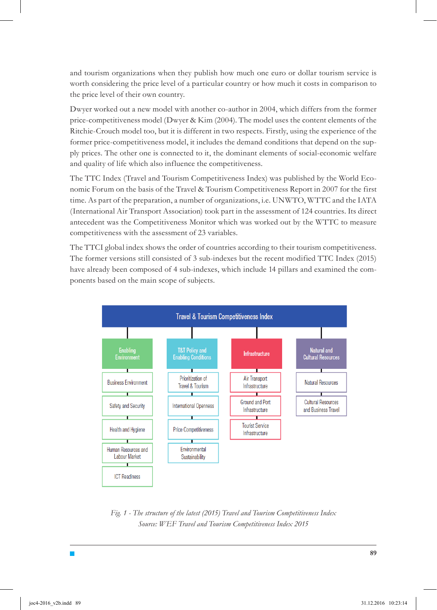and tourism organizations when they publish how much one euro or dollar tourism service is worth considering the price level of a particular country or how much it costs in comparison to the price level of their own country.

Dwyer worked out a new model with another co-author in 2004, which differs from the former price-competitiveness model (Dwyer & Kim (2004). The model uses the content elements of the Ritchie-Crouch model too, but it is different in two respects. Firstly, using the experience of the former price-competitiveness model, it includes the demand conditions that depend on the supply prices. The other one is connected to it, the dominant elements of social-economic welfare and quality of life which also influence the competitiveness.

The TTC Index (Travel and Tourism Competitiveness Index) was published by the World Economic Forum on the basis of the Travel & Tourism Competitiveness Report in 2007 for the first time. As part of the preparation, a number of organizations, i.e. UNWTO, WTTC and the IATA (International Air Transport Association) took part in the assessment of 124 countries. Its direct antecedent was the Competitiveness Monitor which was worked out by the WTTC to measure competitiveness with the assessment of 23 variables.

The TTCI global index shows the order of countries according to their tourism competitiveness. The former versions still consisted of 3 sub-indexes but the recent modified TTC Index (2015) have already been composed of 4 sub-indexes, which include 14 pillars and examined the components based on the main scope of subjects.



*Fig. 1 - The structure of the latest (2015) Travel and Tourism Competitiveness Index Source: WEF Travel and Tourism Competitiveness Index 2015*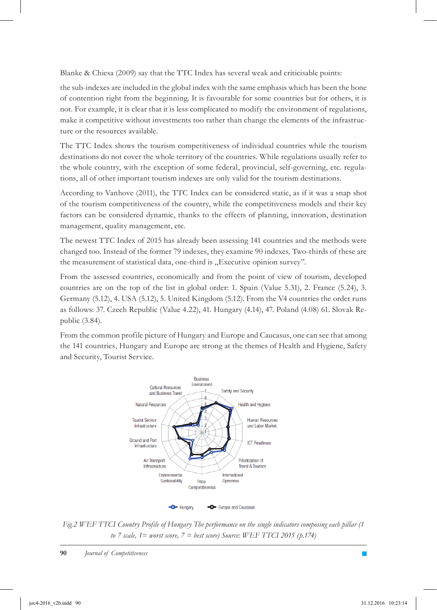Blanke & Chiesa (2009) say that the TTC Index has several weak and criticisable points:

the sub-indexes are included in the global index with the same emphasis which has been the bone of contention right from the beginning. It is favourable for some countries but for others, it is not. For example, it is clear that it is less complicated to modify the environment of regulations, make it competitive without investments too rather than change the elements of the infrastructure or the resources available.

The TTC Index shows the tourism competitiveness of individual countries while the tourism destinations do not cover the whole territory of the countries. While regulations usually refer to the whole country, with the exception of some federal, provincial, self-governing, etc. regulations, all of other important tourism indexes are only valid for the tourism destinations.

According to Vanhove (2011), the TTC Index can be considered static, as if it was a snap shot of the tourism competitiveness of the country, while the competitiveness models and their key factors can be considered dynamic, thanks to the effects of planning, innovation, destination management, quality management, etc.

The newest TTC Index of 2015 has already been assessing 141 countries and the methods were changed too. Instead of the former 79 indexes, they examine 90 indexes. Two-thirds of these are the measurement of statistical data, one-third is "Executive opinion survey".

From the assessed countries, economically and from the point of view of tourism, developed countries are on the top of the list in global order: 1. Spain (Value 5.31), 2. France (5.24), 3. Germany (5.12), 4. USA (5.12), 5. United Kingdom (5.12). From the V4 countries the order runs as follows: 37. Czech Republic (Value 4.22), 41. Hungary (4.14), 47. Poland (4.08) 61. Slovak Republic (3.84).

From the common profile picture of Hungary and Europe and Caucasus, one can see that among the 141 countries, Hungary and Europe are strong at the themes of Health and Hygiene, Safety and Security, Tourist Service.



*Fig.2 WEF TTCI Country Profile of Hungary The performance on the single indicators composing each pillar (1 to 7 scale, 1= worst score, 7 = best score) Source: WEF TTCI 2015 (p.174)*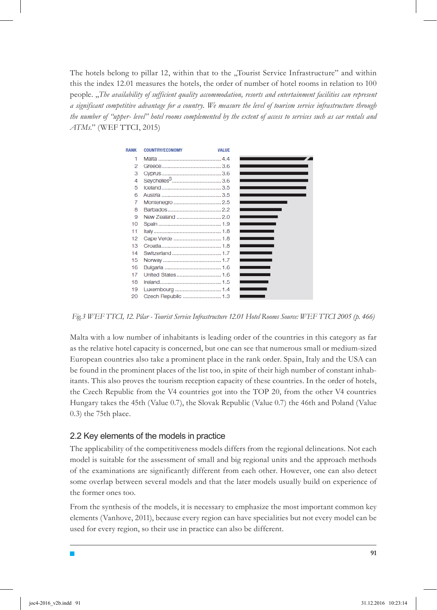The hotels belong to pillar 12, within that to the "Tourist Service Infrastructure" and within this the index 12.01 measures the hotels, the order of number of hotel rooms in relation to 100 people. "*The availability of sufficient quality accommodation, resorts and entertainment facilities can represent a significant competitive advantage for a country. We measure the level of tourism service infrastructure through the number of "upper- level" hotel rooms complemented by the extent of access to services such as car rentals and ATMs.*" (WEF TTCI, 2015)



*Fig.3 WEF TTCI, 12. Pilar - Tourist Service Infrastructure 12.01 Hotel Rooms Source: WEF TTCI 2005 (p. 466)* 

Malta with a low number of inhabitants is leading order of the countries in this category as far as the relative hotel capacity is concerned, but one can see that numerous small or medium-sized European countries also take a prominent place in the rank order. Spain, Italy and the USA can be found in the prominent places of the list too, in spite of their high number of constant inhabitants. This also proves the tourism reception capacity of these countries. In the order of hotels, the Czech Republic from the V4 countries got into the TOP 20, from the other V4 countries Hungary takes the 45th (Value 0.7), the Slovak Republic (Value 0.7) the 46th and Poland (Value 0.3) the 75th place.

#### 2.2 Key elements of the models in practice

The applicability of the competitiveness models differs from the regional delineations. Not each model is suitable for the assessment of small and big regional units and the approach methods of the examinations are significantly different from each other. However, one can also detect some overlap between several models and that the later models usually build on experience of the former ones too.

From the synthesis of the models, it is necessary to emphasize the most important common key elements (Vanhove, 2011), because every region can have specialities but not every model can be used for every region, so their use in practice can also be different.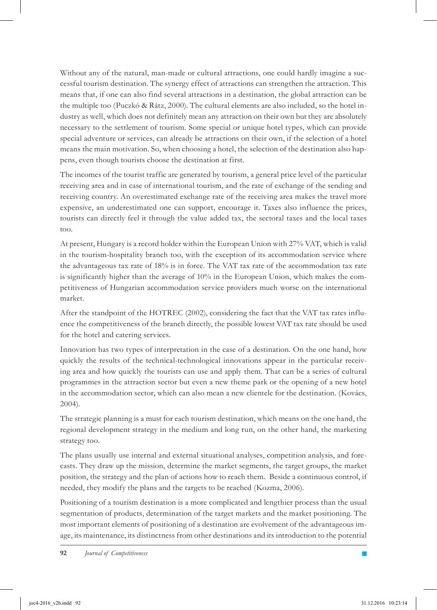Without any of the natural, man-made or cultural attractions, one could hardly imagine a successful tourism destination. The synergy effect of attractions can strengthen the attraction. This means that, if one can also find several attractions in a destination, the global attraction can be the multiple too (Puczkó & Rátz, 2000). The cultural elements are also included, so the hotel industry as well, which does not definitely mean any attraction on their own but they are absolutely necessary to the settlement of tourism. Some special or unique hotel types, which can provide special adventure or services, can already be attractions on their own, if the selection of a hotel means the main motivation. So, when choosing a hotel, the selection of the destination also happens, even though tourists choose the destination at first.

The incomes of the tourist traffic are generated by tourism, a general price level of the particular receiving area and in case of international tourism, and the rate of exchange of the sending and receiving country. An overestimated exchange rate of the receiving area makes the travel more expensive, an underestimated one can support, encourage it. Taxes also influence the prices, tourists can directly feel it through the value added tax, the sectoral taxes and the local taxes too.

At present, Hungary is a record holder within the European Union with 27% VAT, which is valid in the tourism-hospitality branch too, with the exception of its accommodation service where the advantageous tax rate of 18% is in force. The VAT tax rate of the accommodation tax rate is significantly higher than the average of 10% in the European Union, which makes the competitiveness of Hungarian accommodation service providers much worse on the international market.

After the standpoint of the HOTREC (2002), considering the fact that the VAT tax rates influence the competitiveness of the branch directly, the possible lowest VAT tax rate should be used for the hotel and catering services.

Innovation has two types of interpretation in the case of a destination. On the one hand, how quickly the results of the technical-technological innovations appear in the particular receiving area and how quickly the tourists can use and apply them. That can be a series of cultural programmes in the attraction sector but even a new theme park or the opening of a new hotel in the accommodation sector, which can also mean a new clientele for the destination. (Kovács, 2004).

The strategic planning is a must for each tourism destination, which means on the one hand, the regional development strategy in the medium and long run, on the other hand, the marketing strategy too.

The plans usually use internal and external situational analyses, competition analysis, and forecasts. They draw up the mission, determine the market segments, the target groups, the market position, the strategy and the plan of actions how to reach them. Beside a continuous control, if needed, they modify the plans and the targets to be reached (Kozma, 2006).

Positioning of a tourism destination is a more complicated and lengthier process than the usual segmentation of products, determination of the target markets and the market positioning. The most important elements of positioning of a destination are evolvement of the advantageous image, its maintenance, its distinctness from other destinations and its introduction to the potential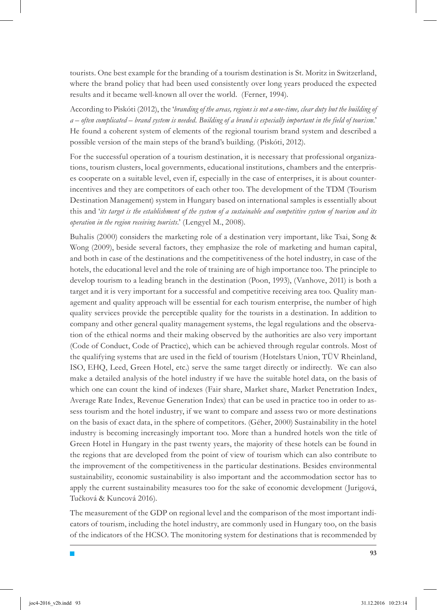tourists. One best example for the branding of a tourism destination is St. Moritz in Switzerland, where the brand policy that had been used consistently over long years produced the expected results and it became well-known all over the world. (Ferner, 1994).

According to Piskóti (2012), the '*branding of the areas, regions is not a one-time, clear duty but the building of a – often complicated – brand system is needed. Building of a brand is especially important in the field of tourism.*' He found a coherent system of elements of the regional tourism brand system and described a possible version of the main steps of the brand's building. (Piskóti, 2012).

For the successful operation of a tourism destination, it is necessary that professional organizations, tourism clusters, local governments, educational institutions, chambers and the enterprises cooperate on a suitable level, even if, especially in the case of enterprises, it is about counterincentives and they are competitors of each other too. The development of the TDM (Tourism Destination Management) system in Hungary based on international samples is essentially about this and '*its target is the establishment of the system of a sustainable and competitive system of tourism and its operation in the region receiving tourists.*' (Lengyel M., 2008).

Buhalis (2000) considers the marketing role of a destination very important, like Tsai, Song & Wong (2009), beside several factors, they emphasize the role of marketing and human capital, and both in case of the destinations and the competitiveness of the hotel industry, in case of the hotels, the educational level and the role of training are of high importance too. The principle to develop tourism to a leading branch in the destination (Poon, 1993), (Vanhove, 2011) is both a target and it is very important for a successful and competitive receiving area too. Quality management and quality approach will be essential for each tourism enterprise, the number of high quality services provide the perceptible quality for the tourists in a destination. In addition to company and other general quality management systems, the legal regulations and the observation of the ethical norms and their making observed by the authorities are also very important (Code of Conduct, Code of Practice), which can be achieved through regular controls. Most of the qualifying systems that are used in the field of tourism (Hotelstars Union, TÜV Rheinland, ISO, EHQ, Leed, Green Hotel, etc.) serve the same target directly or indirectly. We can also make a detailed analysis of the hotel industry if we have the suitable hotel data, on the basis of which one can count the kind of indexes (Fair share, Market share, Market Penetration Index, Average Rate Index, Revenue Generation Index) that can be used in practice too in order to assess tourism and the hotel industry, if we want to compare and assess two or more destinations on the basis of exact data, in the sphere of competitors. (Géher, 2000) Sustainability in the hotel industry is becoming increasingly important too. More than a hundred hotels won the title of Green Hotel in Hungary in the past twenty years, the majority of these hotels can be found in the regions that are developed from the point of view of tourism which can also contribute to the improvement of the competitiveness in the particular destinations. Besides environmental sustainability, economic sustainability is also important and the accommodation sector has to apply the current sustainability measures too for the sake of economic development (Jurigová, Tučková & Kuncová 2016).

The measurement of the GDP on regional level and the comparison of the most important indicators of tourism, including the hotel industry, are commonly used in Hungary too, on the basis of the indicators of the HCSO. The monitoring system for destinations that is recommended by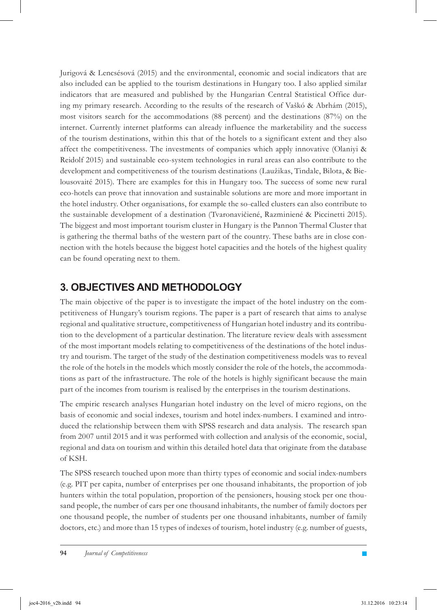Jurigová & Lencsésová (2015) and the environmental, economic and social indicators that are also included can be applied to the tourism destinations in Hungary too. I also applied similar indicators that are measured and published by the Hungarian Central Statistical Office during my primary research. According to the results of the research of Vaškó & Abrhám (2015), most visitors search for the accommodations (88 percent) and the destinations (87%) on the internet. Currently internet platforms can already influence the marketability and the success of the tourism destinations, within this that of the hotels to a significant extent and they also affect the competitiveness. The investments of companies which apply innovative (Olaniyi & Reidolf 2015) and sustainable eco-system technologies in rural areas can also contribute to the development and competitiveness of the tourism destinations (Laužikas, Tindale, Bilota, & Bielousovaité 2015). There are examples for this in Hungary too. The success of some new rural eco-hotels can prove that innovation and sustainable solutions are more and more important in the hotel industry. Other organisations, for example the so-called clusters can also contribute to the sustainable development of a destination (Tvaronavičiené, Razminiené & Piccinetti 2015). The biggest and most important tourism cluster in Hungary is the Pannon Thermal Cluster that is gathering the thermal baths of the western part of the country. These baths are in close connection with the hotels because the biggest hotel capacities and the hotels of the highest quality can be found operating next to them.

### **3. OBJECTIVES AND METHODOLOGY**

The main objective of the paper is to investigate the impact of the hotel industry on the competitiveness of Hungary's tourism regions. The paper is a part of research that aims to analyse regional and qualitative structure, competitiveness of Hungarian hotel industry and its contribution to the development of a particular destination. The literature review deals with assessment of the most important models relating to competitiveness of the destinations of the hotel industry and tourism. The target of the study of the destination competitiveness models was to reveal the role of the hotels in the models which mostly consider the role of the hotels, the accommodations as part of the infrastructure. The role of the hotels is highly significant because the main part of the incomes from tourism is realised by the enterprises in the tourism destinations.

The empiric research analyses Hungarian hotel industry on the level of micro regions, on the basis of economic and social indexes, tourism and hotel index-numbers. I examined and introduced the relationship between them with SPSS research and data analysis. The research span from 2007 until 2015 and it was performed with collection and analysis of the economic, social, regional and data on tourism and within this detailed hotel data that originate from the database of KSH.

The SPSS research touched upon more than thirty types of economic and social index-numbers (e.g. PIT per capita, number of enterprises per one thousand inhabitants, the proportion of job hunters within the total population, proportion of the pensioners, housing stock per one thousand people, the number of cars per one thousand inhabitants, the number of family doctors per one thousand people, the number of students per one thousand inhabitants, number of family doctors, etc.) and more than 15 types of indexes of tourism, hotel industry (e.g. number of guests,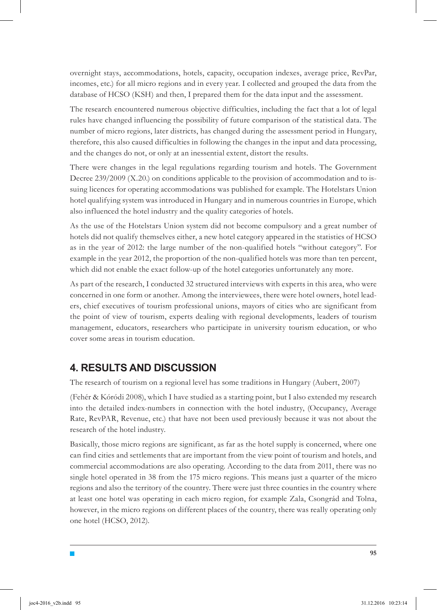overnight stays, accommodations, hotels, capacity, occupation indexes, average price, RevPar, incomes, etc.) for all micro regions and in every year. I collected and grouped the data from the database of HCSO (KSH) and then, I prepared them for the data input and the assessment.

The research encountered numerous objective difficulties, including the fact that a lot of legal rules have changed influencing the possibility of future comparison of the statistical data. The number of micro regions, later districts, has changed during the assessment period in Hungary, therefore, this also caused difficulties in following the changes in the input and data processing, and the changes do not, or only at an inessential extent, distort the results.

There were changes in the legal regulations regarding tourism and hotels. The Government Decree 239/2009 (X.20.) on conditions applicable to the provision of accommodation and to issuing licences for operating accommodations was published for example. The Hotelstars Union hotel qualifying system was introduced in Hungary and in numerous countries in Europe, which also influenced the hotel industry and the quality categories of hotels.

As the use of the Hotelstars Union system did not become compulsory and a great number of hotels did not qualify themselves either, a new hotel category appeared in the statistics of HCSO as in the year of 2012: the large number of the non-qualified hotels "without category". For example in the year 2012, the proportion of the non-qualified hotels was more than ten percent, which did not enable the exact follow-up of the hotel categories unfortunately any more.

As part of the research, I conducted 32 structured interviews with experts in this area, who were concerned in one form or another. Among the interviewees, there were hotel owners, hotel leaders, chief executives of tourism professional unions, mayors of cities who are significant from the point of view of tourism, experts dealing with regional developments, leaders of tourism management, educators, researchers who participate in university tourism education, or who cover some areas in tourism education.

### **4. RESULTS AND DISCUSSION**

The research of tourism on a regional level has some traditions in Hungary (Aubert, 2007)

(Fehér & Kóródi 2008), which I have studied as a starting point, but I also extended my research into the detailed index-numbers in connection with the hotel industry, (Occupancy, Average Rate, RevPAR, Revenue, etc.) that have not been used previously because it was not about the research of the hotel industry.

Basically, those micro regions are significant, as far as the hotel supply is concerned, where one can find cities and settlements that are important from the view point of tourism and hotels, and commercial accommodations are also operating. According to the data from 2011, there was no single hotel operated in 38 from the 175 micro regions. This means just a quarter of the micro regions and also the territory of the country. There were just three counties in the country where at least one hotel was operating in each micro region, for example Zala, Csongrád and Tolna, however, in the micro regions on different places of the country, there was really operating only one hotel (HCSO, 2012).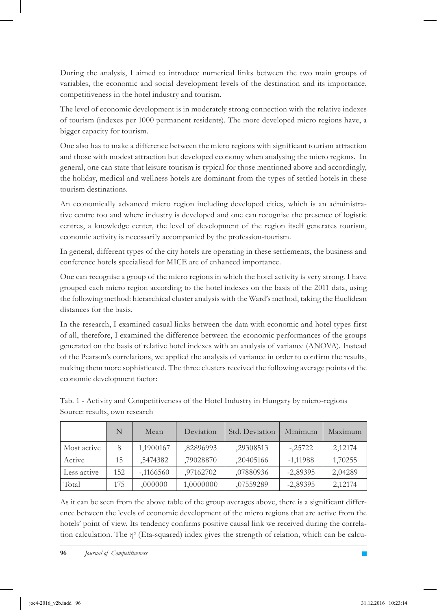During the analysis, I aimed to introduce numerical links between the two main groups of variables, the economic and social development levels of the destination and its importance, competitiveness in the hotel industry and tourism.

The level of economic development is in moderately strong connection with the relative indexes of tourism (indexes per 1000 permanent residents). The more developed micro regions have, a bigger capacity for tourism.

One also has to make a difference between the micro regions with significant tourism attraction and those with modest attraction but developed economy when analysing the micro regions. In general, one can state that leisure tourism is typical for those mentioned above and accordingly, the holiday, medical and wellness hotels are dominant from the types of settled hotels in these tourism destinations.

An economically advanced micro region including developed cities, which is an administrative centre too and where industry is developed and one can recognise the presence of logistic centres, a knowledge center, the level of development of the region itself generates tourism, economic activity is necessarily accompanied by the profession-tourism.

In general, different types of the city hotels are operating in these settlements, the business and conference hotels specialised for MICE are of enhanced importance.

One can recognise a group of the micro regions in which the hotel activity is very strong. I have grouped each micro region according to the hotel indexes on the basis of the 2011 data, using the following method: hierarchical cluster analysis with the Ward's method, taking the Euclidean distances for the basis.

In the research, I examined casual links between the data with economic and hotel types first of all, therefore, I examined the difference between the economic performances of the groups generated on the basis of relative hotel indexes with an analysis of variance (ANOVA). Instead of the Pearson's correlations, we applied the analysis of variance in order to confirm the results, making them more sophisticated. The three clusters received the following average points of the economic development factor:

|             | N   | Mean       | Deviation | Std. Deviation | Minimum    | Maximum |
|-------------|-----|------------|-----------|----------------|------------|---------|
| Most active | 8   | 1,1900167  | ,82896993 | ,29308513      | $-25722$   | 2,12174 |
| Active      | 15  | .5474382   | ,79028870 | ,20405166      | $-1,11988$ | 1,70255 |
| Less active | 152 | $-1166560$ | ,97162702 | ,07880936      | $-2,89395$ | 2,04289 |
| Total       | 175 | ,000000    | 1,0000000 | ,07559289      | $-2,89395$ | 2,12174 |

Tab. 1 - Activity and Competitiveness of the Hotel Industry in Hungary by micro-regions Source: results, own research

As it can be seen from the above table of the group averages above, there is a significant difference between the levels of economic development of the micro regions that are active from the hotels' point of view. Its tendency confirms positive causal link we received during the correlation calculation. The η2 (Eta-squared) index gives the strength of relation, which can be calcu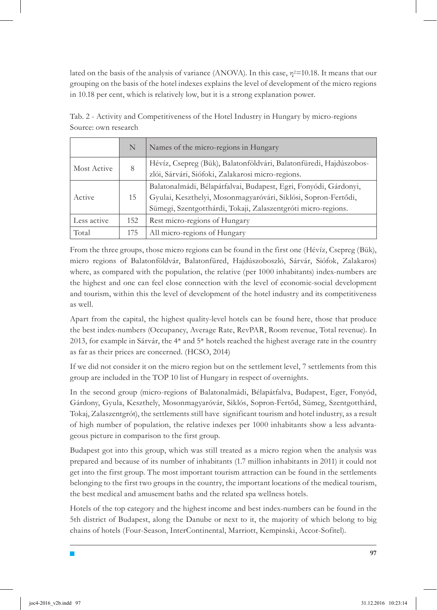lated on the basis of the analysis of variance (ANOVA). In this case,  $\eta^2$ =10.18. It means that our grouping on the basis of the hotel indexes explains the level of development of the micro regions in 10.18 per cent, which is relatively low, but it is a strong explanation power.

|             | N   | Names of the micro-regions in Hungary                                                                                                                                                               |  |
|-------------|-----|-----------------------------------------------------------------------------------------------------------------------------------------------------------------------------------------------------|--|
| Most Active | 8   | Hévíz, Csepreg (Bük), Balatonföldvári, Balatonfüredi, Hajdúszobos-<br>zlói, Sárvári, Siófoki, Zalakarosi micro-regions.                                                                             |  |
| Active      | 15  | Balatonalmádi, Bélapátfalvai, Budapest, Egri, Fonyódi, Gárdonyi,<br>Gyulai, Keszthelyi, Mosonmagyaróvári, Siklósi, Sopron-Fertődi,<br>Sümegi, Szentgotthárdi, Tokaji, Zalaszentgróti micro-regions. |  |
| Less active | 152 | Rest micro-regions of Hungary                                                                                                                                                                       |  |
| Total       | 175 | All micro-regions of Hungary                                                                                                                                                                        |  |

Tab. 2 - Activity and Competitiveness of the Hotel Industry in Hungary by micro-regions Source: own research

From the three groups, those micro regions can be found in the first one (Hévíz, Csepreg (Bük), micro regions of Balatonföldvár, Balatonfüred, Hajdúszoboszló, Sárvár, Siófok, Zalakaros) where, as compared with the population, the relative (per 1000 inhabitants) index-numbers are the highest and one can feel close connection with the level of economic-social development and tourism, within this the level of development of the hotel industry and its competitiveness as well.

Apart from the capital, the highest quality-level hotels can be found here, those that produce the best index-numbers (Occupancy, Average Rate, RevPAR, Room revenue, Total revenue). In 2013, for example in Sárvár, the  $4^*$  and  $5^*$  hotels reached the highest average rate in the country as far as their prices are concerned. (HCSO, 2014)

If we did not consider it on the micro region but on the settlement level, 7 settlements from this group are included in the TOP 10 list of Hungary in respect of overnights.

In the second group (micro-regions of Balatonalmádi, Bélapátfalva, Budapest, Eger, Fonyód, Gárdony, Gyula, Keszthely, Mosonmagyaróvár, Siklós, Sopron-Fertőd, Sümeg, Szentgotthárd, Tokaj, Zalaszentgrót), the settlements still have significant tourism and hotel industry, as a result of high number of population, the relative indexes per 1000 inhabitants show a less advantageous picture in comparison to the first group.

Budapest got into this group, which was still treated as a micro region when the analysis was prepared and because of its number of inhabitants (1.7 million inhabitants in 2011) it could not get into the first group. The most important tourism attraction can be found in the settlements belonging to the first two groups in the country, the important locations of the medical tourism, the best medical and amusement baths and the related spa wellness hotels.

Hotels of the top category and the highest income and best index-numbers can be found in the 5th district of Budapest, along the Danube or next to it, the majority of which belong to big chains of hotels (Four-Season, InterContinental, Marriott, Kempinski, Accor-Sofitel).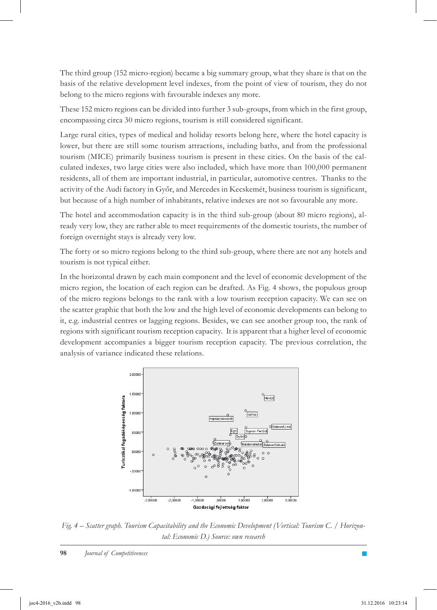The third group (152 micro-region) became a big summary group, what they share is that on the basis of the relative development level indexes, from the point of view of tourism, they do not belong to the micro regions with favourable indexes any more.

These 152 micro regions can be divided into further 3 sub-groups, from which in the first group, encompassing circa 30 micro regions, tourism is still considered significant.

Large rural cities, types of medical and holiday resorts belong here, where the hotel capacity is lower, but there are still some tourism attractions, including baths, and from the professional tourism (MICE) primarily business tourism is present in these cities. On the basis of the calculated indexes, two large cities were also included, which have more than 100,000 permanent residents, all of them are important industrial, in particular, automotive centres. Thanks to the activity of the Audi factory in Győr, and Mercedes in Kecskemét, business tourism is significant, but because of a high number of inhabitants, relative indexes are not so favourable any more.

The hotel and accommodation capacity is in the third sub-group (about 80 micro regions), already very low, they are rather able to meet requirements of the domestic tourists, the number of foreign overnight stays is already very low.

The forty or so micro regions belong to the third sub-group, where there are not any hotels and tourism is not typical either.

In the horizontal drawn by each main component and the level of economic development of the micro region, the location of each region can be drafted. As Fig. 4 shows, the populous group of the micro regions belongs to the rank with a low tourism reception capacity. We can see on the scatter graphic that both the low and the high level of economic developments can belong to it, e.g. industrial centres or lagging regions. Besides, we can see another group too, the rank of regions with significant tourism reception capacity. It is apparent that a higher level of economic development accompanies a bigger tourism reception capacity. The previous correlation, the analysis of variance indicated these relations.



*Fig. 4 – Scatter graph. Tourism Capacitability and the Economic Development (Vertical: Tourism C. / Horizontal: Economic D.) Source: own research*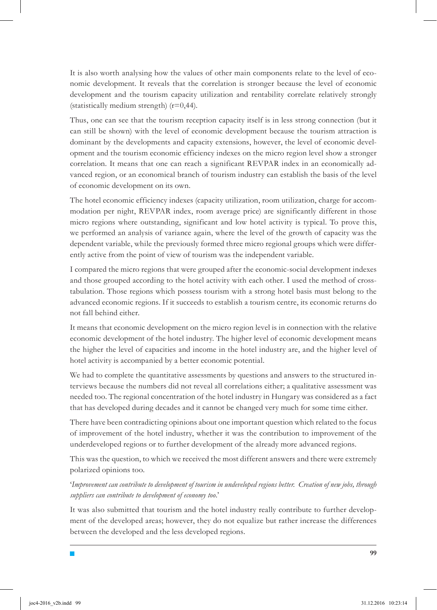It is also worth analysing how the values of other main components relate to the level of economic development. It reveals that the correlation is stronger because the level of economic development and the tourism capacity utilization and rentability correlate relatively strongly (statistically medium strength)  $(r=0,44)$ .

Thus, one can see that the tourism reception capacity itself is in less strong connection (but it can still be shown) with the level of economic development because the tourism attraction is dominant by the developments and capacity extensions, however, the level of economic development and the tourism economic efficiency indexes on the micro region level show a stronger correlation. It means that one can reach a significant REVPAR index in an economically advanced region, or an economical branch of tourism industry can establish the basis of the level of economic development on its own.

The hotel economic efficiency indexes (capacity utilization, room utilization, charge for accommodation per night, REVPAR index, room average price) are significantly different in those micro regions where outstanding, significant and low hotel activity is typical. To prove this, we performed an analysis of variance again, where the level of the growth of capacity was the dependent variable, while the previously formed three micro regional groups which were differently active from the point of view of tourism was the independent variable.

I compared the micro regions that were grouped after the economic-social development indexes and those grouped according to the hotel activity with each other. I used the method of crosstabulation. Those regions which possess tourism with a strong hotel basis must belong to the advanced economic regions. If it succeeds to establish a tourism centre, its economic returns do not fall behind either.

It means that economic development on the micro region level is in connection with the relative economic development of the hotel industry. The higher level of economic development means the higher the level of capacities and income in the hotel industry are, and the higher level of hotel activity is accompanied by a better economic potential.

We had to complete the quantitative assessments by questions and answers to the structured interviews because the numbers did not reveal all correlations either; a qualitative assessment was needed too. The regional concentration of the hotel industry in Hungary was considered as a fact that has developed during decades and it cannot be changed very much for some time either.

There have been contradicting opinions about one important question which related to the focus of improvement of the hotel industry, whether it was the contribution to improvement of the underdeveloped regions or to further development of the already more advanced regions.

This was the question, to which we received the most different answers and there were extremely polarized opinions too.

'*Improvement can contribute to development of tourism in undeveloped regions better. Creation of new jobs, through suppliers can contribute to development of economy too.*'

It was also submitted that tourism and the hotel industry really contribute to further development of the developed areas; however, they do not equalize but rather increase the differences between the developed and the less developed regions.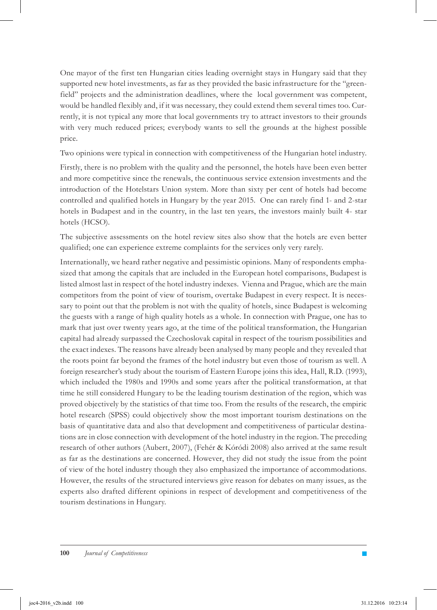One mayor of the first ten Hungarian cities leading overnight stays in Hungary said that they supported new hotel investments, as far as they provided the basic infrastructure for the "greenfield" projects and the administration deadlines, where the local government was competent, would be handled flexibly and, if it was necessary, they could extend them several times too. Currently, it is not typical any more that local governments try to attract investors to their grounds with very much reduced prices; everybody wants to sell the grounds at the highest possible price.

Two opinions were typical in connection with competitiveness of the Hungarian hotel industry.

Firstly, there is no problem with the quality and the personnel, the hotels have been even better and more competitive since the renewals, the continuous service extension investments and the introduction of the Hotelstars Union system. More than sixty per cent of hotels had become controlled and qualified hotels in Hungary by the year 2015. One can rarely find 1- and 2-star hotels in Budapest and in the country, in the last ten years, the investors mainly built 4- star hotels (HCSO).

The subjective assessments on the hotel review sites also show that the hotels are even better qualified; one can experience extreme complaints for the services only very rarely.

Internationally, we heard rather negative and pessimistic opinions. Many of respondents emphasized that among the capitals that are included in the European hotel comparisons, Budapest is listed almost last in respect of the hotel industry indexes. Vienna and Prague, which are the main competitors from the point of view of tourism, overtake Budapest in every respect. It is necessary to point out that the problem is not with the quality of hotels, since Budapest is welcoming the guests with a range of high quality hotels as a whole. In connection with Prague, one has to mark that just over twenty years ago, at the time of the political transformation, the Hungarian capital had already surpassed the Czechoslovak capital in respect of the tourism possibilities and the exact indexes. The reasons have already been analysed by many people and they revealed that the roots point far beyond the frames of the hotel industry but even those of tourism as well. A foreign researcher's study about the tourism of Eastern Europe joins this idea, Hall, R.D. (1993), which included the 1980s and 1990s and some years after the political transformation, at that time he still considered Hungary to be the leading tourism destination of the region, which was proved objectively by the statistics of that time too. From the results of the research, the empiric hotel research (SPSS) could objectively show the most important tourism destinations on the basis of quantitative data and also that development and competitiveness of particular destinations are in close connection with development of the hotel industry in the region. The preceding research of other authors (Aubert, 2007), (Fehér & Kóródi 2008) also arrived at the same result as far as the destinations are concerned. However, they did not study the issue from the point of view of the hotel industry though they also emphasized the importance of accommodations. However, the results of the structured interviews give reason for debates on many issues, as the experts also drafted different opinions in respect of development and competitiveness of the tourism destinations in Hungary.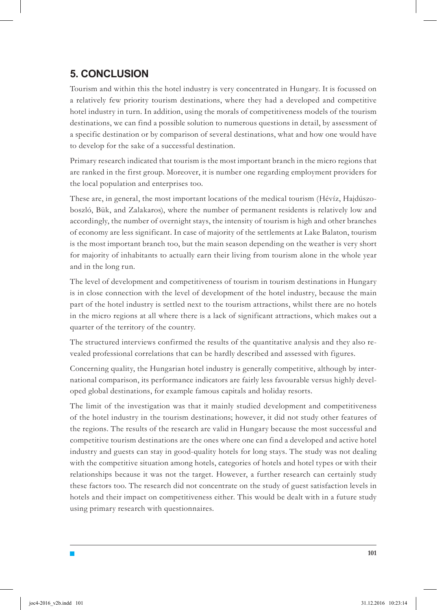### **5. CONCLUSION**

Tourism and within this the hotel industry is very concentrated in Hungary. It is focussed on a relatively few priority tourism destinations, where they had a developed and competitive hotel industry in turn. In addition, using the morals of competitiveness models of the tourism destinations, we can find a possible solution to numerous questions in detail, by assessment of a specific destination or by comparison of several destinations, what and how one would have to develop for the sake of a successful destination.

Primary research indicated that tourism is the most important branch in the micro regions that are ranked in the first group. Moreover, it is number one regarding employment providers for the local population and enterprises too.

These are, in general, the most important locations of the medical tourism (Hévíz, Hajdúszoboszló, Bük, and Zalakaros), where the number of permanent residents is relatively low and accordingly, the number of overnight stays, the intensity of tourism is high and other branches of economy are less significant. In case of majority of the settlements at Lake Balaton, tourism is the most important branch too, but the main season depending on the weather is very short for majority of inhabitants to actually earn their living from tourism alone in the whole year and in the long run.

The level of development and competitiveness of tourism in tourism destinations in Hungary is in close connection with the level of development of the hotel industry, because the main part of the hotel industry is settled next to the tourism attractions, whilst there are no hotels in the micro regions at all where there is a lack of significant attractions, which makes out a quarter of the territory of the country.

The structured interviews confirmed the results of the quantitative analysis and they also revealed professional correlations that can be hardly described and assessed with figures.

Concerning quality, the Hungarian hotel industry is generally competitive, although by international comparison, its performance indicators are fairly less favourable versus highly developed global destinations, for example famous capitals and holiday resorts.

The limit of the investigation was that it mainly studied development and competitiveness of the hotel industry in the tourism destinations; however, it did not study other features of the regions. The results of the research are valid in Hungary because the most successful and competitive tourism destinations are the ones where one can find a developed and active hotel industry and guests can stay in good-quality hotels for long stays. The study was not dealing with the competitive situation among hotels, categories of hotels and hotel types or with their relationships because it was not the target. However, a further research can certainly study these factors too. The research did not concentrate on the study of guest satisfaction levels in hotels and their impact on competitiveness either. This would be dealt with in a future study using primary research with questionnaires.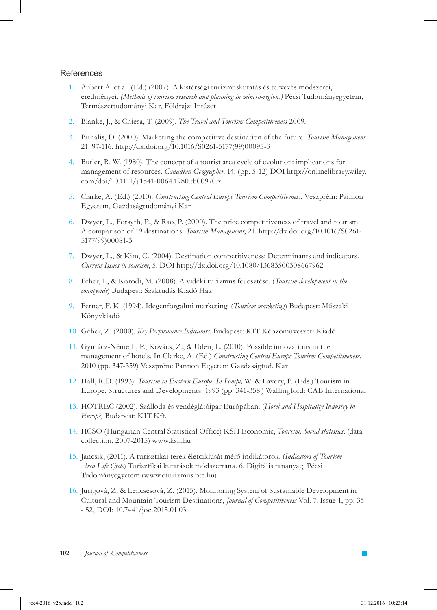#### References

- Aubert A. et al. (Ed.) (2007). A kistérségi turizmuskutatás és tervezés módszerei, 1. eredményei. *(Methods of tourism research and planning in mincro-regions)* Pécsi Tudományegyetem, Természettudományi Kar, Földrajzi Intézet
- Blanke, J., & Chiesa, T. (2009). *The Travel and Tourism Competitiveness* 2009. 2.
- 3. Buhalis, D. (2000). Marketing the competitive destination of the future. *Tourism Management* 21. 97-116. http://dx.doi.org/10.1016/S0261-5177(99)00095-3
- 4. Butler, R. W. (1980). The concept of a tourist area cycle of evolution: implications for management of resources. *Canadian Geographer*, 14. (pp. 5-12) DOI http://onlinelibrary.wiley. com/doi/10.1111/j.1541-0064.1980.tb00970.x
- Clarke, A. (Ed.) (2010). *Constructing Central Europe Tourism Competitiveness.* Veszprém: Pannon 5. Egyetem, Gazdaságtudományi Kar
- Dwyer, L., Forsyth, P., & Rao, P. (2000). The price competitiveness of travel and tourism: 6. A comparison of 19 destinations. *Tourism Management*, 21. http://dx.doi.org/10.1016/S0261- 5177(99)00081-3
- Dwyer, L., & Kim, C. (2004). Destination competitiveness: Determinants and indicators. 7. *Current Issues in tourism*, 5. DOI http://dx.doi.org/10.1080/13683500308667962
- Fehér, I., & Kóródi, M. (2008). A vidéki turizmus fejlesztése. (*Tourism development in the*  8. *countyside*) Budapest: Szaktudás Kiadó Ház
- Ferner, F. K. (1994). Idegenforgalmi marketing. (*Tourism marketing*) Budapest: Műszaki 9. Könyvkiadó
- Géher, Z. (2000). *Key Performance Indicators*. Budapest: KIT Képzőművészeti Kiadó 10.
- 11. Gyurácz-Németh, P., Kovács, Z., & Uden, L. (2010). Possible innovations in the management of hotels. In Clarke, A. (Ed.) *Constructing Central Europe Tourism Competitiveness*. 2010 (pp. 347-359) Veszprém: Pannon Egyetem Gazdaságtud. Kar
- 12. Hall, R.D. (1993). *Tourism in Eastern Europe. In Pompl*, W. & Lavery, P. (Eds.) Tourism in Europe. Structures and Developments. 1993 (pp. 341-358.) Wallingford: CAB International
- HOTREC (2002). Szálloda és vendéglátóipar Európában. (*Hotel and Hospitality Industry in*  13. *Europe*) Budapest: KIT Kft.
- 14. HCSO (Hungarian Central Statistical Office) KSH Economic, *Tourism, Social statistics*. (data collection, 2007-2015) www.ksh.hu
- Jancsik, (2011). A turisztikai terek életciklusát mérő indikátorok. (*Indicators of Tourism*  15. *Area Life Cycle*) Turisztikai kutatások módszertana. 6. Digitális tananyag, Pécsi Tudományegyetem (www.eturizmus.pte.hu)
- 16. Jurigová, Z. & Lencsésová, Z. (2015). Monitoring System of Sustainable Development in Cultural and Mountain Tourism Destinations, *Journal of Competitiveness* Vol. 7, Issue 1, pp. 35 - 52, DOI: 10.7441/joc.2015.01.03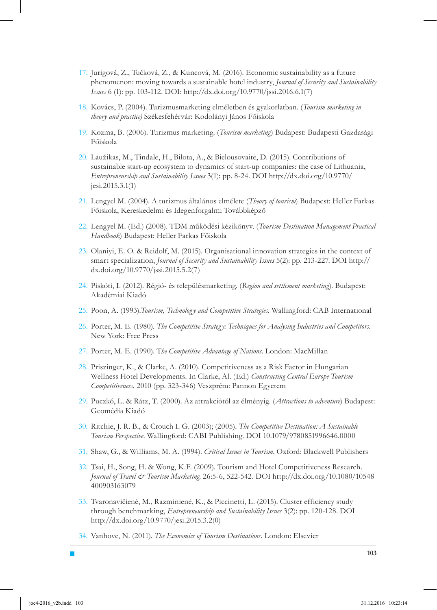- 17. Jurigová, Z., Tučková, Z., & Kuncová, M. (2016). Economic sustainability as a future phenomenon: moving towards a sustainable hotel industry, *Journal of Security and Sustainability Issues* 6 (1): pp. 103-112. DOI: http://dx.doi.org/10.9770/jssi.2016.6.1(7)
- 18. Kovács, P. (2004). Turizmusmarketing elméletben és gyakorlatban. (Tourism marketing in *theory and practice)* Székesfehérvár: Kodolányi János Főiskola
- 19. Kozma, B. (2006). Turizmus marketing. (*Tourism marketing*) Budapest: Budapesti Gazdasági Főiskola
- Laužikas, M., Tindale, H., Bilota, A., & Bielousovaitė, D. (2015). Contributions of 20. sustainable start-up ecosystem to dynamics of start-up companies: the case of Lithuania, *Entrepreneurship and Sustainability Issues* 3(1): pp. 8-24. DOI http://dx.doi.org/10.9770/ jesi.2015.3.1(1)
- Lengyel M. (2004). A turizmus általános elmélete (*Theory of tourism*) Budapest: Heller Farkas 21. Főiskola, Kereskedelmi és Idegenforgalmi Továbbképző
- Lengyel M. (Ed.) (2008). TDM működési kézikönyv. (*Tourism Destination Management Practical*  22. *Handbook*) Budapest: Heller Farkas Főiskola
- 23. Olaniyi, E. O. & Reidolf, M. (2015). Organisational innovation strategies in the context of smart specialization, *Journal of Security and Sustainability Issues* 5(2): pp. 213-227. DOI http:// dx.doi.org/10.9770/jssi.2015.5.2(7)
- 24. Piskóti, I. (2012). Régió- és településmarketing. (Region and settlement marketing). Budapest: Akadémiai Kiadó
- 25. Poon, A. (1993). Tourism, Technology and Competitive Strategies. Wallingford: CAB International
- 26. Porter, M. E. (1980). The Competitive Strategy: Techniques for Analysing Industries and Competitors. New York: Free Press
- 27. Porter, M. E. (1990). The Competitive Advantage of Nations. London: MacMillan
- 28. Priszinger, K., & Clarke, A. (2010). Competitiveness as a Risk Factor in Hungarian Wellness Hotel Developments. In Clarke, Al. (Ed.) *Constructing Central Europe Tourism Competitiveness.* 2010 (pp. 323-346) Veszprém: Pannon Egyetem
- 29. Puczkó, L. & Rátz, T. (2000). Az attrakciótól az élményig. (Attractions to adventure) Budapest: Geomédia Kiadó
- Ritchie, J. R. B., & Crouch I. G. (2003); (2005). *The Competitive Destination: A Sustainable*  30. *Tourism Perspective*. Wallingford: CABI Publishing. DOI 10.1079/9780851996646.0000
- Shaw, G., & Williams, M. A. (1994). *Critical Issues in Tourism*. Oxford: Blackwell Publishers 31.
- 32. Tsai, H., Song, H. & Wong, K.F. (2009). Tourism and Hotel Competitiveness Research. *Journal of Travel & Tourism Marketing*. 26:5-6, 522-542. DOI http://dx.doi.org/10.1080/10548 400903163079
- 33. Tvaronavičienė, M., Razminienė, K., & Piccinetti, L. (2015). Cluster efficiency study through benchmarking, *Entrepreneurship and Sustainability Issues* 3(2): pp. 120-128. DOI http://dx.doi.org/10.9770/jesi.2015.3.2(0)
- 34. Vanhove, N. (2011). *The Economics of Tourism Destinations*. London: Elsevier